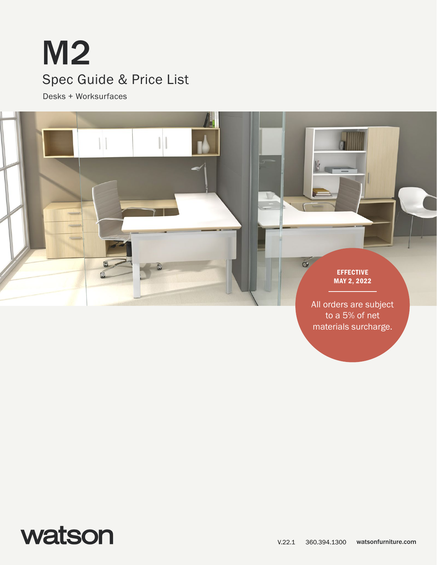# M2 Spec Guide & Price List

Desks + Worksurfaces



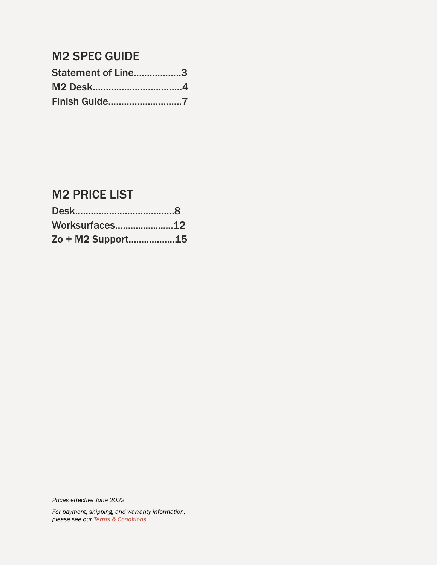### M2 SPEC GUIDE

| Statement of Line3   |  |
|----------------------|--|
|                      |  |
| <b>Finish Guide7</b> |  |

### M2 PRICE LIST

| Worksurfaces12    |  |
|-------------------|--|
| Zo + M2 Support15 |  |

*Prices effective June 2022*

*For payment, shipping, and warranty information, please see our [Terms & Conditions.](https://www.watsonfurniture.com/terms)*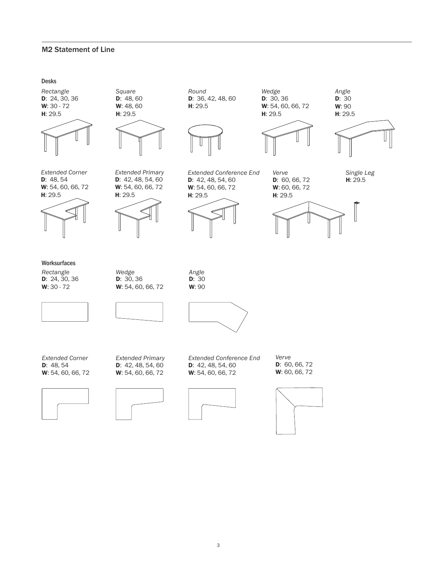#### <span id="page-2-0"></span>M2 Statement of Line

#### Desks

D: 24, 30, 36 W: 30 - 72 H: 29.5 *Rectangle*



D: 48, 60 W: 48, 60 H: 29.5

*Square*



D: 48, 54 W: 54, 60, 66, 72 H: 29.5 *Extended Corner*



D: 42, 48, 54, 60 W: 54, 60, 66, 72

*Extended Primary*

H: 29.5

D: 36, 42, 48, 60

*Round*



D: 42, 48, 54, 60 W: 54, 60, 66, 72

*Extended Conference End*

H: 29.5

D: 30, 36 W: 54, 60, 66, 72 H: 29.5 *Wedge*



D: 60, 66, 72 W: 60, 66, 72

*Verve*



**D**: 30

*Angle*

H: 29.5 *Single Leg*



**Worksurfaces** 

D: 24, 30, 36 W: 30 - 72 *Rectangle*

D: 30, 36 W: 54, 60, 66, 72 *Wedge*

D: 30 W: 90 *Angle*



D: 48, 54 W: 54, 60, 66, 72 *Extended Corner*



D: 42, 48, 54, 60 W: 54, 60, 66, 72 *Extended Primary*





D: 60, 66, 72 W: 60, 66, 72 *Verve*

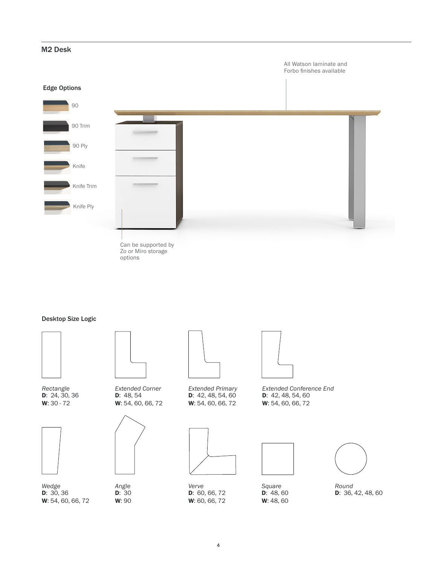## <span id="page-3-0"></span>Can be supported by Zo or Miro storage options Edge Options M2 Desk 90 90 Trim Knife Knife Trim 90 Ply Knife Ply All Watson laminate and Forbo finishes available

#### Desktop Size Logic



D: 24, 30, 36 W: 30 - 72 *Rectangle*



D: 30, 36 W: 54, 60, 66, 72 *Wedge*



D: 48, 54 W: 54, 60, 66, 72 *Extended Corner*



D: 30 W: 90 *Angle*



D: 42, 48, 54, 60 W: 54, 60, 66, 72 *Extended Primary*



D: 60, 66, 72 W: 60, 66, 72 *Verve*



D: 42, 48, 54, 60 W: 54, 60, 66, 72 *Extended Conference End*



D: 48, 60 W: 48, 60 *Square*



D: 36, 42, 48, 60 *Round*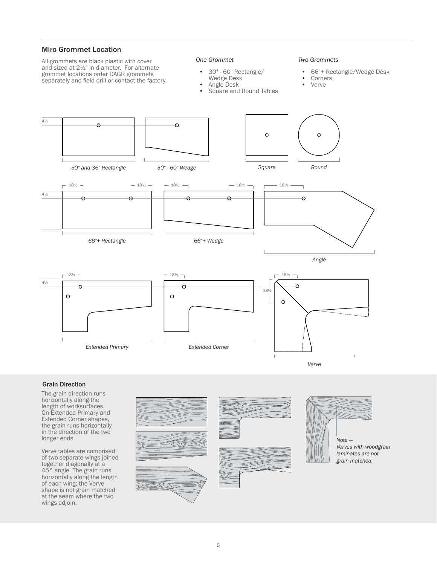#### Miro Grommet Location

All grommets are black plastic with cover and sized at 2½" in diameter. For alternate grommet locations order DAGR grommets separately and field drill or contact the factory.

#### *One Grommet*

- 30" 60" Rectangle/ Wedge Desk
- Angle Desk
- Square and Round Tables

#### *Two Grommets*

- 66"+ Rectangle/Wedge Desk<br>• Corners
- Corners
- Verve



#### Grain Direction

The grain direction runs horizontally along the length of worksurfaces. On Extended Primary and Extended Corner shapes, the grain runs horizontally in the direction of the two longer ends.

Verve tables are comprised of two separate wings joined together diagonally at a 45° angle. The grain runs horizontally along the length of each wing; the Verve shape is not grain matched at the seam where the two wings adjoin.







*grain matched.*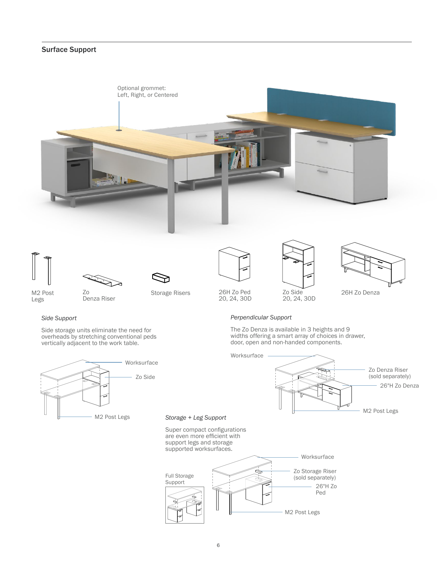#### Surface Support









Legs

Denza Riser





Side storage units eliminate the need for overheads by stretching conventional peds vertically adjacent to the work table.





20, 24, 30D





26H Zo Denza

#### *Perpendicular Support*

The Zo Denza is available in 3 heights and 9 widths offering a smart array of choices in drawer, door, open and non-handed components.



#### *Storage + Leg Support*

Super compact configurations are even more efficient with support legs and storage supported worksurfaces.

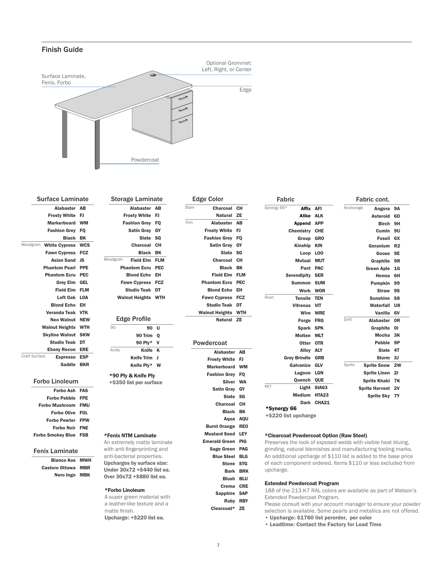#### <span id="page-6-0"></span>Finish Guide



| <b>Surface Laminate</b>           |            |
|-----------------------------------|------------|
| <b>Alabaster</b>                  | AB         |
| <b>Frosty White</b>               | FJ         |
| <b>Markerboard</b>                | <b>WM</b>  |
| <b>Fashion Grev</b>               | <b>FO</b>  |
| <b>Black</b>                      | BK         |
| Woodgrain<br><b>White Cypress</b> | <b>WCS</b> |
| <b>Fawn Cypress</b>               | <b>FCZ</b> |
| <b>Asian Sand</b>                 | <b>JS</b>  |
| <b>Phantom Pearl</b>              | <b>PPE</b> |
| <b>Phantom Ecru</b>               | <b>PEC</b> |
| <b>Grey Elm</b>                   | GEL        |
| <b>Field Elm</b>                  | <b>FLM</b> |
| Loft Oak                          | LOA        |
| <b>Blond Echo</b>                 | EН         |
| <b>Veranda Teak</b>               | <b>VTK</b> |
| Neo Walnut                        | <b>NEW</b> |
| <b>Walnut Heights</b>             | <b>WTH</b> |
| <b>Skyline Walnut</b>             | <b>SKW</b> |
| <b>Studio Teak</b>                | DT         |
| <b>Ebony Recon</b>                | <b>ERE</b> |
| Craft Surface<br><b>Espresso</b>  | <b>ESP</b> |
| <b>Saddle</b>                     | <b>BKR</b> |
|                                   |            |

#### Forbo Linoleum

| Forbo Ash FAS                |  |
|------------------------------|--|
| <b>Forbo Pebble FPE</b>      |  |
| <b>Forbo Mushroom FMU</b>    |  |
| <b>Forbo Olive FOL</b>       |  |
| <b>Forbo Pewter FPW</b>      |  |
| <b>Forbo Noir FNE</b>        |  |
| <b>Forbo Smokey Blue FSB</b> |  |

#### Fenix Laminate

| <b>Bianco Kos MWH</b> |  |
|-----------------------|--|
| Castoro Ottawa MBR    |  |
| Nero Ingo MBK         |  |

| Storage Laminate          |                      |            | E     |
|---------------------------|----------------------|------------|-------|
|                           | <b>Alabaster</b>     | AB         | Stain |
| <b>Frosty White</b>       |                      | FJ         |       |
| <b>Fashion Grey</b>       |                      | <b>FO</b>  | Trim  |
|                           | Satin Gray GY        |            |       |
|                           | Slate SG             |            |       |
|                           | Charcoal             | - сн       |       |
|                           | Black                | BK         |       |
| odgrain                   | <b>Field Elm FLM</b> |            |       |
| <b>Phantom Ecru</b>       |                      | <b>PEC</b> |       |
| <b>Blond Echo</b>         |                      | EH         |       |
| Fawn Cypress FCZ          |                      |            |       |
| Studio Teak               |                      | DT         |       |
| <b>Walnut Heights WTH</b> |                      |            |       |
| Edge Profile              |                      |            |       |
| 90                        | 90                   | U          |       |
|                           | 90 Trim Q            |            |       |
|                           | 90 Ply*              | v          | F     |
| Knife                     | Knife                | K          |       |
|                           | <b>Knife Trim</b>    | J          |       |

Knife Ply\* W

Woodgrain

\*90 Ply & Knife Ply +\$350 list per surface

#### \*Fenix NTM Laminate An extremely matte laminate

with anti-fingerprinting and anti-bacterial properties. Upcharges by surface size: Under 30x72 +\$440 list ea. Over 30x72 +\$880 list ea.

#### \*Forbo Linoleum

A super green material with a leather-like texture and a matte finish. Upcharge: +\$220 list ea.

| <b>Edge Color</b> |                     |            |  |  |
|-------------------|---------------------|------------|--|--|
| in                | Charcoal            | CН         |  |  |
|                   | Natural             | <b>ZE</b>  |  |  |
| ń                 | Alabaster           | AB         |  |  |
|                   | <b>Frosty White</b> | FJ         |  |  |
|                   | <b>Fashion Grey</b> | FQ         |  |  |
|                   | <b>Satin Gray</b>   | GY         |  |  |
|                   | <b>Slate</b>        | SG         |  |  |
|                   | <b>Charcoal</b>     | CН         |  |  |
|                   | <b>Black</b>        | BK         |  |  |
|                   | <b>Field Elm</b>    | <b>FLM</b> |  |  |
|                   | <b>Phantom Ecru</b> | <b>PEC</b> |  |  |
|                   | <b>Blond Echo</b>   | EН         |  |  |
|                   | <b>Fawn Cypress</b> | <b>FCZ</b> |  |  |
|                   | <b>Studio Teak</b>  | DT         |  |  |
|                   | Walnut Heights      | <b>WTH</b> |  |  |
|                   | Natural             | <b>ZE</b>  |  |  |

| Powdercoat            |            |
|-----------------------|------------|
| <b>Alabaster</b>      | AВ         |
| <b>Frosty White</b>   | FJ         |
| <b>Markerboard</b>    | <b>WM</b>  |
| <b>Fashion Grev</b>   | <b>FO</b>  |
| <b>Silver</b>         | <b>WA</b>  |
| <b>Satin Gray</b>     | GY         |
| Slate                 | SG         |
| <b>Charcoal</b>       | CН         |
| <b>Black</b>          | BK         |
| Aqua                  | AQU        |
| <b>Burnt Orange</b>   | <b>REO</b> |
| <b>Mustard Seed</b>   | LEY        |
| <b>Emerald Green</b>  | <b>PIG</b> |
| <b>Sage Green</b>     | PAG        |
| <b>Blue Steel</b>     | <b>BLG</b> |
| Stone                 | <b>STG</b> |
| <b>Bark</b>           | <b>BRK</b> |
| <b>Blush</b>          | <b>BLU</b> |
| Crema                 | <b>CRE</b> |
| <b>Sapphire</b><br>ò. | <b>SAP</b> |
| <b>Ruby RBY</b>       |            |
| Clearcoat*            | ZE         |

| Synergy 66* | <b>Affix</b>         | <b>AFI</b>   | Anchorage<br>Angora          | <b>9A</b>      |
|-------------|----------------------|--------------|------------------------------|----------------|
|             | Alike                | <b>ALK</b>   | <b>Asteroid</b>              | 6D             |
|             | <b>Append</b>        | <b>APP</b>   | <b>Birch</b>                 | 9H             |
|             | Chemistry            | <b>CHE</b>   | Cumin                        | 9U             |
|             | Group                | <b>GRO</b>   | <b>Fossil</b>                | 6X             |
|             | <b>Kinship</b>       | <b>KIN</b>   | Geranium                     | R <sub>2</sub> |
|             | Loop                 | <b>LOO</b>   | Goose                        | 9E             |
|             | <b>Mutual</b>        | <b>MUT</b>   | Graphite                     | 9R             |
|             | Pact                 | <b>PAC</b>   | <b>Green Aple</b>            | 1 <sub>G</sub> |
|             | <b>Serendipity</b>   | <b>SER</b>   | Henna                        | 6H             |
|             | <b>Summon</b>        | <b>SUM</b>   | <b>Pumpkin</b>               | 99             |
|             | Work                 | <b>WOR</b>   | <b>Straw</b>                 | <b>9S</b>      |
| Rivet       | <b>Tensile</b>       | <b>TEN</b>   | <b>Sunshine</b>              | S <sub>8</sub> |
|             | <b>Vitreous</b>      | <b>VIT</b>   | Waterfall                    | U8             |
|             | Wire                 | <b>WRE</b>   | Vanilla                      | 6V             |
|             | Forge                | <b>FRG</b>   | Drift<br><b>Alabaster</b>    | 0R             |
|             | <b>Spark</b>         | <b>SPK</b>   | Graphite                     | 01             |
|             | <b>Molten</b>        | <b>MLT</b>   | <b>Mocha</b>                 | 3K             |
|             | Otter                | <b>OTR</b>   | <b>Pebble</b>                | 9P             |
|             | Alloy                | <b>ALY</b>   | <b>Slate</b>                 | 4T             |
|             | <b>Grey Brindle</b>  | <b>GRB</b>   | <b>Storm</b>                 | 3J             |
|             | Galvanize            | <b>GLV</b>   | Sprite<br><b>Sprite Snow</b> | 2W             |
|             | Lagoon               | <b>LGN</b>   | <b>Sprite Linen</b>          | 21             |
|             | Quench               | QUE          | <b>Sprite Khaki</b>          | <b>7K</b>      |
| PET         | Light                | <b>SIA63</b> | <b>Sprite Harvest</b>        | 2V             |
|             | <b>Medium</b>        | <b>HTA23</b> | <b>Sprite Sky</b>            | <b>7Y</b>      |
|             | <b>Dark</b>          | <b>CHA21</b> |                              |                |
| *Synergy 66 |                      |              |                              |                |
|             | +\$220 list upcharge |              |                              |                |

Fabric cont.

Fabric

#### \*Clearcoat Powdercoat Option (Raw Steel)

Preserves the look of exposed welds with visible heat bluing, grinding, natural blemishes and manufacturing tooling marks. An additional upcharge of \$110 list is added to the base price of each component ordered. Items \$110 or less excluded from upcharge.

#### Extended Powdercoat Program

188 of the 213 K7 RAL colors are available as part of Watson's Extended Powdercoat Program.

Please consult with your account manager to ensure your powder selection is available. Some pearls and metallics are not offered. • Upcharge: \$1760 list perorder, per color

- 
- Leadtime: Contact the Factory for Lead Time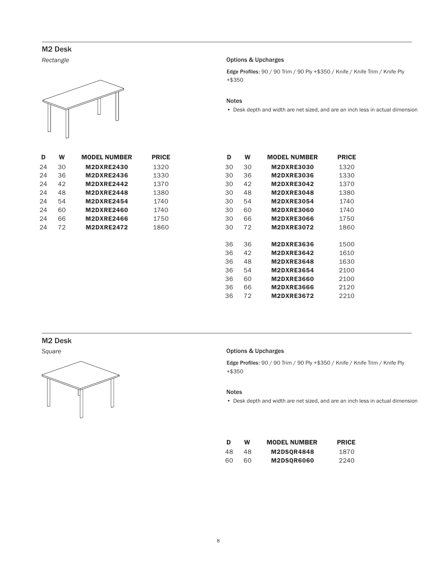<span id="page-7-0"></span>*Rectangle*



| D  | w  | <b>MODEL NUMBER</b> | <b>PRICE</b> |
|----|----|---------------------|--------------|
| 24 | 30 | <b>M2DXRE2430</b>   | 1320         |
| 24 | 36 | <b>M2DXRE2436</b>   | 1330         |
| 24 | 42 | <b>M2DXRE2442</b>   | 1370         |
| 24 | 48 | <b>M2DXRE2448</b>   | 1380         |
| 24 | 54 | <b>M2DXRE2454</b>   | 1740         |
| 24 | 60 | <b>M2DXRE2460</b>   | 1740         |
| 24 | 66 | <b>M2DXRE2466</b>   | 1750         |
| 24 | 72 | <b>M2DXRE2472</b>   | 1860         |
|    |    |                     |              |

#### Options & Upcharges

Edge Profiles: 90 / 90 Trim / 90 Ply +\$350 / Knife / Knife Trim / Knife Ply +\$350

#### Notes

• Desk depth and width are net sized, and are an inch less in actual dimension

| D  | W  | <b>MODEL NUMBER</b> | <b>PRICE</b> | D  | W  | <b>MODEL NUMBER</b> | <b>PRICE</b> |
|----|----|---------------------|--------------|----|----|---------------------|--------------|
| 24 | 30 | <b>M2DXRE2430</b>   | 1320         | 30 | 30 | <b>M2DXRE3030</b>   | 1320         |
| 24 | 36 | <b>M2DXRE2436</b>   | 1330         | 30 | 36 | <b>M2DXRE3036</b>   | 1330         |
| 24 | 42 | <b>M2DXRE2442</b>   | 1370         | 30 | 42 | <b>M2DXRE3042</b>   | 1370         |
| 24 | 48 | <b>M2DXRE2448</b>   | 1380         | 30 | 48 | <b>M2DXRE3048</b>   | 1380         |
| 24 | 54 | <b>M2DXRE2454</b>   | 1740         | 30 | 54 | <b>M2DXRE3054</b>   | 1740         |
| 24 | 60 | <b>M2DXRE2460</b>   | 1740         | 30 | 60 | <b>M2DXRE3060</b>   | 1740         |
| 24 | 66 | <b>M2DXRE2466</b>   | 1750         | 30 | 66 | <b>M2DXRE3066</b>   | 1750         |
| 24 | 72 | <b>M2DXRE2472</b>   | 1860         | 30 | 72 | <b>M2DXRE3072</b>   | 1860         |
|    |    |                     |              |    |    |                     |              |
|    |    |                     |              | 36 | 36 | <b>M2DXRE3636</b>   | 1500         |
|    |    |                     |              | 36 | 42 | <b>M2DXRE3642</b>   | 1610         |
|    |    |                     |              | 36 | 48 | <b>M2DXRE3648</b>   | 1630         |
|    |    |                     |              | 36 | 54 | <b>M2DXRE3654</b>   | 2100         |
|    |    |                     |              | 36 | 60 | <b>M2DXRE3660</b>   | 2100         |
|    |    |                     |              | 36 | 66 | <b>M2DXRE3666</b>   | 2120         |
|    |    |                     |              | 36 | 72 | <b>M2DXRE3672</b>   | 2210         |

#### M2 Desk

*Square*



#### Options & Upcharges

Edge Profiles: 90 / 90 Trim / 90 Ply +\$350 / Knife / Knife Trim / Knife Ply +\$350

#### Notes

• Desk depth and width are net sized, and are an inch less in actual dimension

| Ð  | w  | <b>MODEL NUMBER</b> | <b>PRICE</b> |
|----|----|---------------------|--------------|
| 48 | 48 | <b>M2DSOR4848</b>   | 1870         |
| 60 | ഹ  | <b>M2DSOR6060</b>   | 2240         |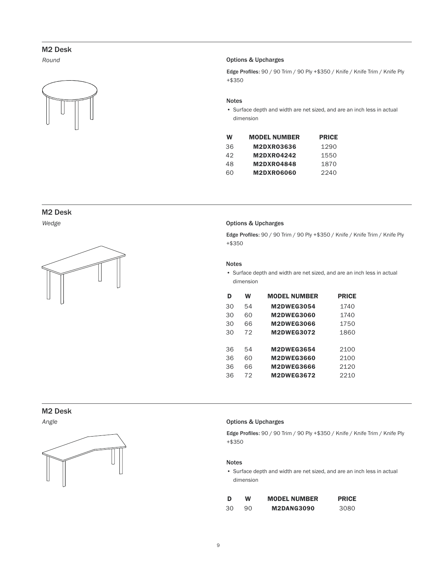*Round*



#### Options & Upcharges

Edge Profiles: 90 / 90 Trim / 90 Ply +\$350 / Knife / Knife Trim / Knife Ply +\$350

#### Notes

• Surface depth and width are net sized, and are an inch less in actual dimension

| W  | <b>MODEL NUMBER</b> | <b>PRICE</b> |
|----|---------------------|--------------|
| 36 | M2DXR03636          | 1290         |
| 42 | <b>M2DXR04242</b>   | 1550         |
| 48 | <b>M2DXR04848</b>   | 1870         |
| 60 | <b>M2DXR06060</b>   | 2240         |

#### M2 Desk

*Wedge*



#### Options & Upcharges

Edge Profiles: 90 / 90 Trim / 90 Ply +\$350 / Knife / Knife Trim / Knife Ply +\$350

#### Notes

• Surface depth and width are net sized, and are an inch less in actual dimension

| D  | W  | <b>MODEL NUMBER</b> | <b>PRICE</b> |
|----|----|---------------------|--------------|
| 30 | 54 | <b>M2DWEG3054</b>   | 1740         |
| 30 | 60 | <b>M2DWEG3060</b>   | 1740         |
| 30 | 66 | <b>M2DWEG3066</b>   | 1750         |
| 30 | 72 | <b>M2DWEG3072</b>   | 1860         |
|    |    |                     |              |
| 36 | 54 | <b>M2DWEG3654</b>   | 2100         |
| 36 | 60 | <b>M2DWEG3660</b>   | 2100         |
| 36 | 66 | <b>M2DWEG3666</b>   | 2120         |
| 36 | 72 | <b>M2DWEG3672</b>   | 2210         |

#### M2 Desk

*Angle*



#### Options & Upcharges

Edge Profiles: 90 / 90 Trim / 90 Ply +\$350 / Knife / Knife Trim / Knife Ply +\$350

#### Notes

• Surface depth and width are net sized, and are an inch less in actual dimension

| Ð  | W   | <b>MODEL NUMBER</b> | <b>PRICE</b> |
|----|-----|---------------------|--------------|
| 30 | 90. | <b>M2DANG3090</b>   | 3080         |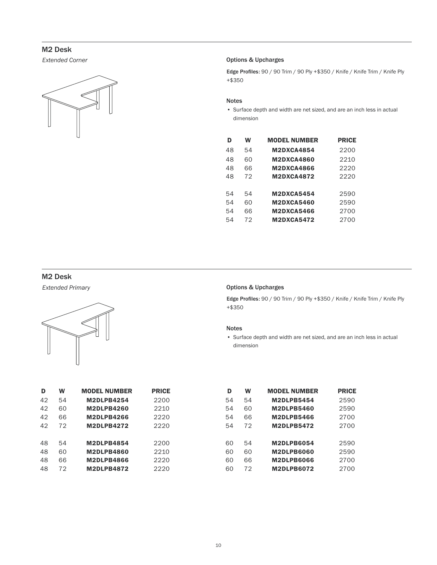*Extended Corner*



#### Options & Upcharges

Edge Profiles: 90 / 90 Trim / 90 Ply +\$350 / Knife / Knife Trim / Knife Ply +\$350

#### Notes

• Surface depth and width are net sized, and are an inch less in actual dimension

| D  | w  | <b>MODEL NUMBER</b> | <b>PRICE</b> |
|----|----|---------------------|--------------|
| 48 | 54 | <b>M2DXCA4854</b>   | 2200         |
| 48 | 60 | <b>M2DXCA4860</b>   | 2210         |
| 48 | 66 | <b>M2DXCA4866</b>   | 2220         |
| 48 | 72 | <b>M2DXCA4872</b>   | 2220         |
|    |    |                     |              |
| 54 | 54 | <b>M2DXCA5454</b>   | 2590         |
| 54 | 60 | <b>M2DXCA5460</b>   | 2590         |
| 54 | 66 | <b>M2DXCA5466</b>   | 2700         |
| 54 | 72 | <b>M2DXCA5472</b>   | 2700         |

#### M2 Desk

*Extended Primary*



| D  | W  | <b>MODEL NUMBER</b> | <b>PRICE</b> |
|----|----|---------------------|--------------|
| 42 | 54 | <b>M2DLPB4254</b>   | 2200         |
| 42 | 60 | <b>M2DLPB4260</b>   | 2210         |
| 42 | 66 | <b>M2DLPB4266</b>   | 2220         |
| 42 | 72 | <b>M2DLPB4272</b>   | 2220         |
| 48 | 54 | <b>M2DLPB4854</b>   | 2200         |
| 48 | 60 | <b>M2DLPB4860</b>   | 2210         |
| 48 | 66 | <b>M2DLPB4866</b>   | 2220         |
| 48 | 72 | <b>M2DLPB4872</b>   | 2220         |

|  |  | <b>Options &amp; Upcharges</b> |
|--|--|--------------------------------|
|--|--|--------------------------------|

Edge Profiles: 90 / 90 Trim / 90 Ply +\$350 / Knife / Knife Trim / Knife Ply +\$350

#### Notes

• Surface depth and width are net sized, and are an inch less in actual dimension

| D  | W  | <b>MODEL NUMBER</b> | <b>PRICE</b> | D  | W  | <b>MODEL NUMBER</b> | <b>PRICE</b> |
|----|----|---------------------|--------------|----|----|---------------------|--------------|
| 42 | 54 | <b>M2DLPB4254</b>   | 2200         | 54 | 54 | <b>M2DLPB5454</b>   | 2590         |
| 42 | 60 | <b>M2DLPB4260</b>   | 2210         | 54 | 60 | <b>M2DLPB5460</b>   | 2590         |
| 42 | 66 | <b>M2DLPB4266</b>   | 2220         | 54 | 66 | <b>M2DLPB5466</b>   | 2700         |
| 42 | 72 | <b>M2DLPB4272</b>   | 2220         | 54 | 72 | <b>M2DLPB5472</b>   | 2700         |
|    |    |                     |              |    |    |                     |              |
| 48 | 54 | <b>M2DLPB4854</b>   | 2200         | 60 | 54 | <b>M2DLPB6054</b>   | 2590         |
| 48 | 60 | <b>M2DLPB4860</b>   | 2210         | 60 | 60 | <b>M2DLPB6060</b>   | 2590         |
| 48 | 66 | <b>M2DLPB4866</b>   | 2220         | 60 | 66 | <b>M2DLPB6066</b>   | 2700         |
| 48 | 72 | <b>M2DLPB4872</b>   | 2220         | 60 | 72 | <b>M2DLPB6072</b>   | 2700         |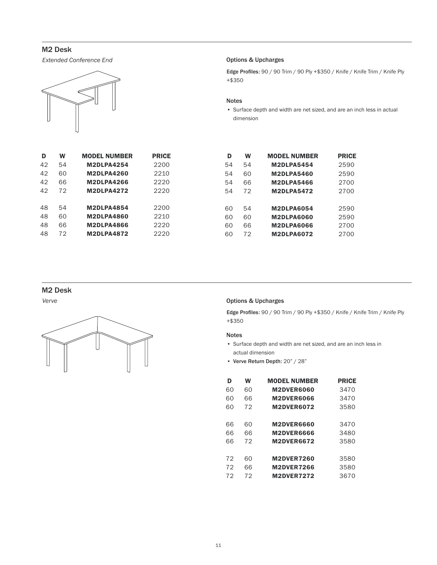*Extended Conference End*



| D  | w  | <b>MODEL NUMBER</b> | PRICE |  |
|----|----|---------------------|-------|--|
| 42 | 54 | <b>M2DLPA4254</b>   | 2200  |  |
| 42 | 60 | <b>M2DLPA4260</b>   | 2210  |  |
| 42 | 66 | <b>M2DLPA4266</b>   | 2220  |  |
| 42 | 72 | <b>M2DLPA4272</b>   | 2220  |  |
|    |    |                     |       |  |
| 48 | 54 | <b>M2DLPA4854</b>   | 2200  |  |
| 48 | 60 | <b>M2DLPA4860</b>   | 2210  |  |
| 48 | 66 | <b>M2DLPA4866</b>   | 2220  |  |
| 48 | 72 | <b>M2DLPA4872</b>   | 2220  |  |

#### Options & Upcharges

Edge Profiles: 90 / 90 Trim / 90 Ply +\$350 / Knife / Knife Trim / Knife Ply +\$350

#### Notes

• Surface depth and width are net sized, and are an inch less in actual dimension

| D   | W  | <b>MODEL NUMBER</b> | <b>PRICE</b> | D  | W  | <b>MODEL NUMBER</b> | <b>PRICE</b> |
|-----|----|---------------------|--------------|----|----|---------------------|--------------|
| 12  | 54 | <b>M2DLPA4254</b>   | 2200         | 54 | 54 | <b>M2DLPA5454</b>   | 2590         |
| 12. | 60 | <b>M2DLPA4260</b>   | 2210         | 54 | 60 | <b>M2DLPA5460</b>   | 2590         |
| 12. | 66 | <b>M2DLPA4266</b>   | 2220         | 54 | 66 | <b>M2DLPA5466</b>   | 2700         |
| 12  | 72 | <b>M2DLPA4272</b>   | 2220         | 54 | 72 | <b>M2DLPA5472</b>   | 2700         |
|     |    |                     |              |    |    |                     |              |
| 18  | 54 | <b>M2DLPA4854</b>   | 2200         | 60 | 54 | <b>M2DLPA6054</b>   | 2590         |
| 18  | 60 | <b>M2DLPA4860</b>   | 2210         | 60 | 60 | <b>M2DLPA6060</b>   | 2590         |
| 18  | 66 | <b>M2DLPA4866</b>   | 2220         | 60 | 66 | <b>M2DLPA6066</b>   | 2700         |
| 18  | 72 | <b>M2DLPA4872</b>   | 2220         | 60 | 72 | <b>M2DLPA6072</b>   | 2700         |
|     |    |                     |              |    |    |                     |              |

#### M2 Desk

*Verve*



#### Options & Upcharges

Edge Profiles: 90 / 90 Trim / 90 Ply +\$350 / Knife / Knife Trim / Knife Ply +\$350

#### Notes

- Surface depth and width are net sized, and are an inch less in actual dimension
- Verve Return Depth: 20" / 28"

| D  | W  | <b>MODEL NUMBER</b> | <b>PRICE</b> |
|----|----|---------------------|--------------|
| 60 | 60 | <b>M2DVER6060</b>   | 3470         |
| 60 | 66 | <b>M2DVER6066</b>   | 3470         |
| 60 | 72 | <b>M2DVER6072</b>   | 3580         |
|    |    |                     |              |
| 66 | 60 | <b>M2DVER6660</b>   | 3470         |
| 66 | 66 | <b>M2DVER6666</b>   | 3480         |
| 66 | 72 | <b>M2DVER6672</b>   | 3580         |
|    |    |                     |              |
| 72 | 60 | <b>M2DVER7260</b>   | 3580         |
| 72 | 66 | <b>M2DVER7266</b>   | 3580         |
| 72 | 72 | <b>M2DVER7272</b>   | 3670         |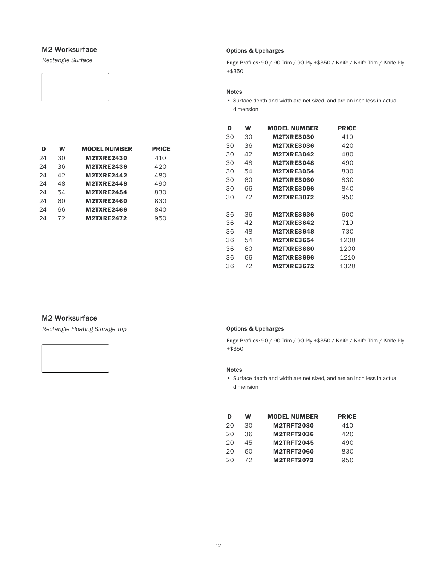<span id="page-11-0"></span>*Rectangle Surface*

#### Options & Upcharges

Edge Profiles: 90 / 90 Trim / 90 Ply +\$350 / Knife / Knife Trim / Knife Ply +\$350

#### Notes

• Surface depth and width are net sized, and are an inch less in actual dimension

| D  | W  | <b>MODEL NUMBER</b> | <b>PRICE</b> |
|----|----|---------------------|--------------|
| 24 | 30 | <b>M2TXRE2430</b>   | 410          |
| 24 | 36 | <b>M2TXRE2436</b>   | 420          |
| 24 | 42 | <b>M2TXRE2442</b>   | 480          |
| 24 | 48 | <b>M2TXRE2448</b>   | 490          |
| 24 | 54 | <b>M2TXRE2454</b>   | 830          |
| 24 | 60 | <b>M2TXRE2460</b>   | 830          |
| 24 | 66 | <b>M2TXRE2466</b>   | 840          |
| 24 | 72 | <b>M2TXRE2472</b>   | 950          |

| D  | W  | <b>MODEL NUMBER</b> | <b>PRICE</b> |
|----|----|---------------------|--------------|
| 30 | 30 | <b>M2TXRE3030</b>   | 410          |
| 30 | 36 | <b>M2TXRE3036</b>   | 420          |
| 30 | 42 | <b>M2TXRE3042</b>   | 480          |
| 30 | 48 | <b>M2TXRE3048</b>   | 490          |
| 30 | 54 | <b>M2TXRE3054</b>   | 830          |
| 30 | 60 | <b>M2TXRE3060</b>   | 830          |
| 30 | 66 | <b>M2TXRE3066</b>   | 840          |
| 30 | 72 | <b>M2TXRE3072</b>   | 950          |
|    |    |                     |              |
| 36 | 36 | <b>M2TXRE3636</b>   | 600          |
| 36 | 42 | <b>M2TXRE3642</b>   | 710          |
| 36 | 48 | <b>M2TXRE3648</b>   | 730          |
| 36 | 54 | <b>M2TXRE3654</b>   | 1200         |
| 36 | 60 | <b>M2TXRE3660</b>   | 1200         |
| 36 | 66 | <b>M2TXRE3666</b>   | 1210         |
| 36 | 72 | <b>M2TXRE3672</b>   | 1320         |

#### M2 Worksurface

*Rectangle Floating Storage Top*

#### Options & Upcharges

Edge Profiles: 90 / 90 Trim / 90 Ply +\$350 / Knife / Knife Trim / Knife Ply +\$350

#### Notes

• Surface depth and width are net sized, and are an inch less in actual dimension

| D  | w  | <b>MODEL NUMBER</b> | <b>PRICE</b> |
|----|----|---------------------|--------------|
| 20 | 30 | <b>M2TRFT2030</b>   | 410          |
| 20 | 36 | <b>M2TRFT2036</b>   | 420          |
| 20 | 45 | <b>M2TRFT2045</b>   | 490          |
| 20 | 60 | <b>M2TRFT2060</b>   | 830          |
| 20 | 72 | <b>M2TRFT2072</b>   | 950          |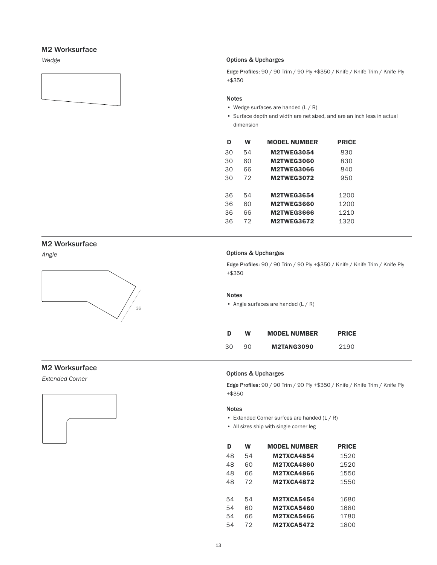*Wedge*



#### Options & Upcharges

Edge Profiles: 90 / 90 Trim / 90 Ply +\$350 / Knife / Knife Trim / Knife Ply +\$350

#### Notes

- Wedge surfaces are handed (L / R)
- Surface depth and width are net sized, and are an inch less in actual dimension

| D  | W  | <b>MODEL NUMBER</b> | <b>PRICE</b> |
|----|----|---------------------|--------------|
| 30 | 54 | <b>M2TWEG3054</b>   | 830          |
| 30 | 60 | <b>M2TWEG3060</b>   | 830          |
| 30 | 66 | <b>M2TWEG3066</b>   | 840          |
| 30 | 72 | <b>M2TWEG3072</b>   | 950          |
|    |    |                     |              |
| 36 | 54 | <b>M2TWEG3654</b>   | 1200         |
| 36 | 60 | <b>M2TWEG3660</b>   | 1200         |
| 36 | 66 | <b>M2TWEG3666</b>   | 1210         |
| 36 | 72 | <b>M2TWEG3672</b>   | 1320         |

#### M2 Worksurface

*Angle*



#### Options & Upcharges

Edge Profiles: 90 / 90 Trim / 90 Ply +\$350 / Knife / Knife Trim / Knife Ply +\$350

#### Notes

• Angle surfaces are handed (L / R)

| Đ  | w  | <b>MODEL NUMBER</b> | <b>PRICE</b> |
|----|----|---------------------|--------------|
| 30 | 90 | <b>M2TANG3090</b>   | 2190         |

#### M2 Worksurface

*Extended Corner*



#### Options & Upcharges

Edge Profiles: 90 / 90 Trim / 90 Ply +\$350 / Knife / Knife Trim / Knife Ply +\$350

#### Notes

- Extended Corner surfces are handed (L / R)
- All sizes ship with single corner leg

| D  | w  | <b>MODEL NUMBER</b> | <b>PRICE</b> |
|----|----|---------------------|--------------|
| 48 | 54 | <b>M2TXCA4854</b>   | 1520         |
| 48 | 60 | <b>M2TXCA4860</b>   | 1520         |
| 48 | 66 | <b>M2TXCA4866</b>   | 1550         |
| 48 | 72 | <b>M2TXCA4872</b>   | 1550         |
|    |    |                     |              |
| 54 | 54 | <b>M2TXCA5454</b>   | 1680         |
| 54 | 60 | <b>M2TXCA5460</b>   | 1680         |
| 54 | 66 | <b>M2TXCA5466</b>   | 1780         |
| 54 | 72 | <b>M2TXCA5472</b>   | 1800         |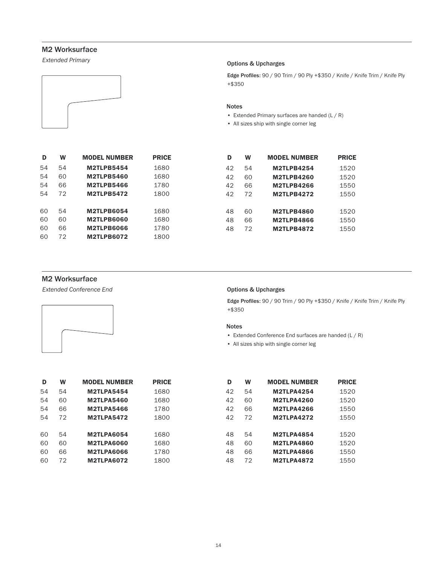*Extended Primary*



#### Options & Upcharges

Edge Profiles: 90 / 90 Trim / 90 Ply +\$350 / Knife / Knife Trim / Knife Ply +\$350

#### Notes

- Extended Primary surfaces are handed (L / R)
- All sizes ship with single corner leg

| D  | W  | <b>MODEL NUMBER</b> | <b>PRICE</b> |
|----|----|---------------------|--------------|
| 54 | 54 | <b>M2TLPB5454</b>   | 1680         |
| 54 | 60 | <b>M2TLPB5460</b>   | 1680         |
| 54 | 66 | <b>M2TLPB5466</b>   | 1780         |
| 54 | 72 | <b>M2TLPB5472</b>   | 1800         |
|    |    |                     |              |
| 60 | 54 | <b>M2TLPB6054</b>   | 1680         |
| 60 | 60 | <b>M2TLPB6060</b>   | 1680         |
| 60 | 66 | <b>M2TLPB6066</b>   | 1780         |
| 60 | 72 | <b>M2TLPB6072</b>   | 1800         |

| D  | W  | <b>MODEL NUMBER</b> | <b>PRICE</b> | D  | W  | <b>MODEL NUMBER</b> | <b>PRICE</b> |
|----|----|---------------------|--------------|----|----|---------------------|--------------|
| 54 | 54 | <b>M2TLPB5454</b>   | 1680         | 42 | 54 | <b>M2TLPB4254</b>   | 1520         |
| 54 | 60 | <b>M2TLPB5460</b>   | 1680         | 42 | 60 | <b>M2TLPB4260</b>   | 1520         |
| 54 | 66 | <b>M2TLPB5466</b>   | 1780         | 42 | 66 | <b>M2TLPB4266</b>   | 1550         |
| 54 | 72 | <b>M2TLPB5472</b>   | 1800         | 42 | 72 | <b>M2TLPB4272</b>   | 1550         |
| 50 | 54 | <b>M2TLPB6054</b>   | 1680         | 48 | 60 | <b>M2TLPB4860</b>   | 1520         |
| 50 | 60 | <b>M2TLPB6060</b>   | 1680         | 48 | 66 | <b>M2TLPB4866</b>   | 1550         |
| 50 | 66 | <b>M2TLPB6066</b>   | 1780         | 48 | 72 | <b>M2TLPB4872</b>   | 1550         |
|    |    |                     |              |    |    |                     |              |

#### M2 Worksurface

*Extended Conference End*



#### Options & Upcharges

Edge Profiles: 90 / 90 Trim / 90 Ply +\$350 / Knife / Knife Trim / Knife Ply +\$350

#### Notes

- Extended Conference End surfaces are handed (L / R)
- All sizes ship with single corner leg

| D  | W  | <b>MODEL NUMBER</b> | <b>PRICE</b> | D  | W  | <b>MODEL NUMBER</b> | <b>PRICE</b> |
|----|----|---------------------|--------------|----|----|---------------------|--------------|
| 54 | 54 | <b>M2TLPA5454</b>   | 1680         | 42 | 54 | <b>M2TLPA4254</b>   | 1520         |
| 54 | 60 | <b>M2TLPA5460</b>   | 1680         | 42 | 60 | <b>M2TLPA4260</b>   | 1520         |
| 54 | 66 | <b>M2TLPA5466</b>   | 1780         | 42 | 66 | <b>M2TLPA4266</b>   | 1550         |
| 54 | 72 | <b>M2TLPA5472</b>   | 1800         | 42 | 72 | <b>M2TLPA4272</b>   | 1550         |
| 60 | 54 | <b>M2TLPA6054</b>   | 1680         | 48 | 54 | <b>M2TLPA4854</b>   | 1520         |
| 60 | 60 | <b>M2TLPA6060</b>   | 1680         | 48 | 60 | <b>M2TLPA4860</b>   | 1520         |
| 60 | 66 | <b>M2TLPA6066</b>   | 1780         | 48 | 66 | <b>M2TLPA4866</b>   | 1550         |
| 60 | 72 | <b>M2TLPA6072</b>   | 1800         | 48 | 72 | <b>M2TLPA4872</b>   | 1550         |

| D  | w  | <b>MODEL NUMBER</b> | <b>PRICE</b> |
|----|----|---------------------|--------------|
| 42 | 54 | <b>M2TLPA4254</b>   | 1520         |
| 42 | 60 | <b>M2TLPA4260</b>   | 1520         |
| 42 | 66 | <b>M2TLPA4266</b>   | 1550         |
| 42 | 72 | <b>M2TLPA4272</b>   | 1550         |
|    |    |                     |              |
| 48 | 54 | <b>M2TLPA4854</b>   | 1520         |
| 48 | 60 | <b>M2TLPA4860</b>   | 1520         |
| 48 | 66 | <b>M2TLPA4866</b>   | 1550         |
| 48 | 72 | <b>M2TLPA4872</b>   | 1550         |